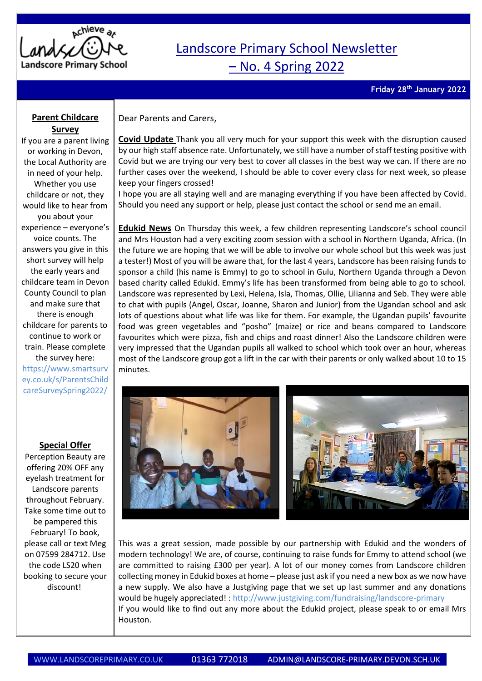

## Landscore Primary School Newsletter – No. 4 Spring 2022

**Friday 28 th January 2022**

## **Parent Childcare Survey**

If you are a parent living or working in Devon, the Local Authority are in need of your help. Whether you use childcare or not, they would like to hear from you about your experience – everyone's voice counts. The answers you give in this short survey will help the early years and childcare team in Devon County Council to plan and make sure that there is enough childcare for parents to continue to work or train. Please complete the survey here: [https://www.smartsurv](https://www.smartsurvey.co.uk/s/ParentsChildcareSurveySpring2022/) [ey.co.uk/s/ParentsChild](https://www.smartsurvey.co.uk/s/ParentsChildcareSurveySpring2022/) [careSurveySpring2022/](https://www.smartsurvey.co.uk/s/ParentsChildcareSurveySpring2022/)

## **Special Offer**

Perception Beauty are offering 20% OFF any eyelash treatment for Landscore parents throughout February. Take some time out to be pampered this February! To book, please call or text Meg on 07599 284712. Use the code LS20 when booking to secure your discount!

Dear Parents and Carers,

**Covid Update** Thank you all very much for your support this week with the disruption caused by our high staff absence rate. Unfortunately, we still have a number of staff testing positive with Covid but we are trying our very best to cover all classes in the best way we can. If there are no further cases over the weekend, I should be able to cover every class for next week, so please keep your fingers crossed!

I hope you are all staying well and are managing everything if you have been affected by Covid. Should you need any support or help, please just contact the school or send me an email.

**Edukid News** On Thursday this week, a few children representing Landscore's school council and Mrs Houston had a very exciting zoom session with a school in Northern Uganda, Africa. (In the future we are hoping that we will be able to involve our whole school but this week was just a tester!) Most of you will be aware that, for the last 4 years, Landscore has been raising funds to sponsor a child (his name is Emmy) to go to school in Gulu, Northern Uganda through a Devon based charity called Edukid. Emmy's life has been transformed from being able to go to school. Landscore was represented by Lexi, Helena, Isla, Thomas, Ollie, Lilianna and Seb. They were able to chat with pupils (Angel, Oscar, Joanne, Sharon and Junior) from the Ugandan school and ask lots of questions about what life was like for them. For example, the Ugandan pupils' favourite food was green vegetables and "posho" (maize) or rice and beans compared to Landscore favourites which were pizza, fish and chips and roast dinner! Also the Landscore children were very impressed that the Ugandan pupils all walked to school which took over an hour, whereas most of the Landscore group got a lift in the car with their parents or only walked about 10 to 15 minutes.



This was a great session, made possible by our partnership with Edukid and the wonders of modern technology! We are, of course, continuing to raise funds for Emmy to attend school (we are committed to raising £300 per year). A lot of our money comes from Landscore children collecting money in Edukid boxes at home – please just ask if you need a new box as we now have a new supply. We also have a Justgiving page that we set up last summer and any donations would be hugely appreciated! : http://www.justgiving.com/fundraising/landscore-primary If you would like to find out any more about the Edukid project, please speak to or email Mrs Houston.